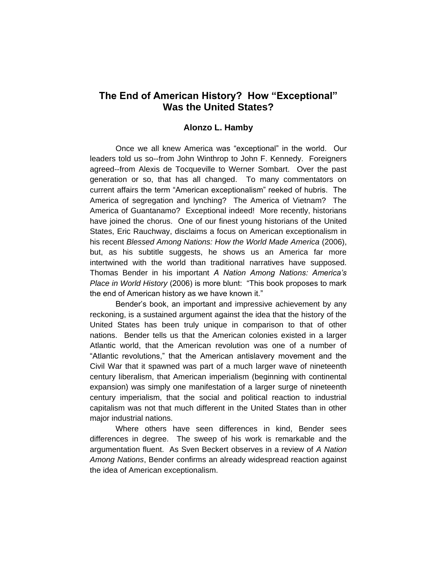## **The End of American History? How "Exceptional" Was the United States?**

## **Alonzo L. Hamby**

Once we all knew America was "exceptional" in the world. Our leaders told us so--from John Winthrop to John F. Kennedy. Foreigners agreed--from Alexis de Tocqueville to Werner Sombart. Over the past generation or so, that has all changed. To many commentators on current affairs the term "American exceptionalism" reeked of hubris. The America of segregation and lynching? The America of Vietnam? The America of Guantanamo? Exceptional indeed! More recently, historians have joined the chorus. One of our finest young historians of the United States, Eric Rauchway, disclaims a focus on American exceptionalism in his recent *Blessed Among Nations: How the World Made America* (2006), but, as his subtitle suggests, he shows us an America far more intertwined with the world than traditional narratives have supposed. Thomas Bender in his important *A Nation Among Nations: America's Place in World History* (2006) is more blunt: "This book proposes to mark the end of American history as we have known it."

Bender's book, an important and impressive achievement by any reckoning, is a sustained argument against the idea that the history of the United States has been truly unique in comparison to that of other nations. Bender tells us that the American colonies existed in a larger Atlantic world, that the American revolution was one of a number of "Atlantic revolutions," that the American antislavery movement and the Civil War that it spawned was part of a much larger wave of nineteenth century liberalism, that American imperialism (beginning with continental expansion) was simply one manifestation of a larger surge of nineteenth century imperialism, that the social and political reaction to industrial capitalism was not that much different in the United States than in other major industrial nations.

Where others have seen differences in kind, Bender sees differences in degree. The sweep of his work is remarkable and the argumentation fluent. As Sven Beckert observes in a review of *A Nation Among Nations*, Bender confirms an already widespread reaction against the idea of American exceptionalism.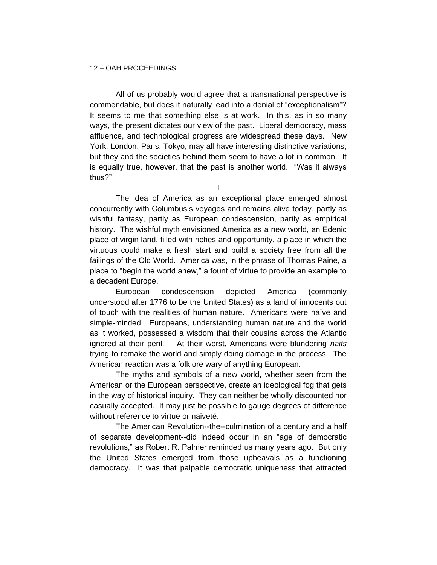## 12 – OAH PROCEEDINGS

All of us probably would agree that a transnational perspective is commendable, but does it naturally lead into a denial of "exceptionalism"? It seems to me that something else is at work. In this, as in so many ways, the present dictates our view of the past. Liberal democracy, mass affluence, and technological progress are widespread these days. New York, London, Paris, Tokyo, may all have interesting distinctive variations, but they and the societies behind them seem to have a lot in common. It is equally true, however, that the past is another world. "Was it always thus?"

I

The idea of America as an exceptional place emerged almost concurrently with Columbus's voyages and remains alive today, partly as wishful fantasy, partly as European condescension, partly as empirical history. The wishful myth envisioned America as a new world, an Edenic place of virgin land, filled with riches and opportunity, a place in which the virtuous could make a fresh start and build a society free from all the failings of the Old World. America was, in the phrase of Thomas Paine, a place to "begin the world anew," a fount of virtue to provide an example to a decadent Europe.

European condescension depicted America (commonly understood after 1776 to be the United States) as a land of innocents out of touch with the realities of human nature. Americans were naïve and simple-minded. Europeans, understanding human nature and the world as it worked, possessed a wisdom that their cousins across the Atlantic ignored at their peril. At their worst, Americans were blundering *naifs*  trying to remake the world and simply doing damage in the process. The American reaction was a folklore wary of anything European.

The myths and symbols of a new world, whether seen from the American or the European perspective, create an ideological fog that gets in the way of historical inquiry. They can neither be wholly discounted nor casually accepted. It may just be possible to gauge degrees of difference without reference to virtue or naiveté.

The American Revolution--the--culmination of a century and a half of separate development--did indeed occur in an "age of democratic revolutions," as Robert R. Palmer reminded us many years ago. But only the United States emerged from those upheavals as a functioning democracy. It was that palpable democratic uniqueness that attracted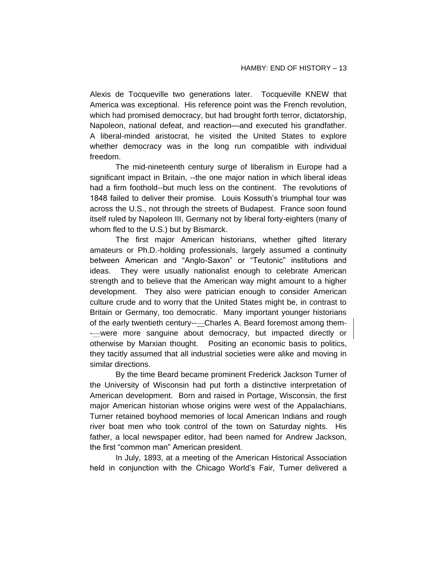Alexis de Tocqueville two generations later. Tocqueville KNEW that America was exceptional. His reference point was the French revolution, which had promised democracy, but had brought forth terror, dictatorship, Napoleon, national defeat, and reaction—and executed his grandfather. A liberal-minded aristocrat, he visited the United States to explore whether democracy was in the long run compatible with individual freedom.

The mid-nineteenth century surge of liberalism in Europe had a significant impact in Britain, --the one major nation in which liberal ideas had a firm foothold--but much less on the continent. The revolutions of 1848 failed to deliver their promise. Louis Kossuth's triumphal tour was across the U.S., not through the streets of Budapest. France soon found itself ruled by Napoleon III, Germany not by liberal forty-eighters (many of whom fled to the U.S.) but by Bismarck.

The first major American historians, whether gifted literary amateurs or Ph.D.-holding professionals, largely assumed a continuity between American and "Anglo-Saxon" or "Teutonic" institutions and ideas. They were usually nationalist enough to celebrate American strength and to believe that the American way might amount to a higher development. They also were patrician enough to consider American culture crude and to worry that the United States might be, in contrast to Britain or Germany, too democratic. Many important younger historians of the early twentieth century-----Charles A. Beard foremost among them--—were more sanguine about democracy, but impacted directly or otherwise by Marxian thought. Positing an economic basis to politics, they tacitly assumed that all industrial societies were alike and moving in similar directions.

By the time Beard became prominent Frederick Jackson Turner of the University of Wisconsin had put forth a distinctive interpretation of American development. Born and raised in Portage, Wisconsin, the first major American historian whose origins were west of the Appalachians, Turner retained boyhood memories of local American Indians and rough river boat men who took control of the town on Saturday nights. His father, a local newspaper editor, had been named for Andrew Jackson, the first "common man" American president.

In July, 1893, at a meeting of the American Historical Association held in conjunction with the Chicago World's Fair, Turner delivered a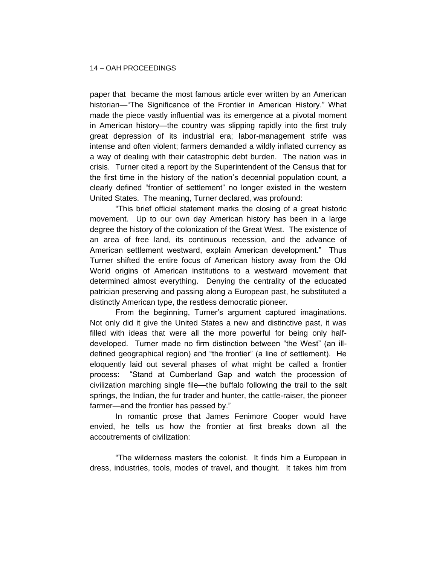paper that became the most famous article ever written by an American historian—"The Significance of the Frontier in American History." What made the piece vastly influential was its emergence at a pivotal moment in American history—the country was slipping rapidly into the first truly great depression of its industrial era; labor-management strife was intense and often violent; farmers demanded a wildly inflated currency as a way of dealing with their catastrophic debt burden. The nation was in crisis. Turner cited a report by the Superintendent of the Census that for the first time in the history of the nation's decennial population count, a clearly defined "frontier of settlement" no longer existed in the western United States. The meaning, Turner declared, was profound:

"This brief official statement marks the closing of a great historic movement. Up to our own day American history has been in a large degree the history of the colonization of the Great West. The existence of an area of free land, its continuous recession, and the advance of American settlement westward, explain American development." Thus Turner shifted the entire focus of American history away from the Old World origins of American institutions to a westward movement that determined almost everything. Denying the centrality of the educated patrician preserving and passing along a European past, he substituted a distinctly American type, the restless democratic pioneer.

From the beginning, Turner's argument captured imaginations. Not only did it give the United States a new and distinctive past, it was filled with ideas that were all the more powerful for being only halfdeveloped. Turner made no firm distinction between "the West" (an illdefined geographical region) and "the frontier" (a line of settlement). He eloquently laid out several phases of what might be called a frontier process: "Stand at Cumberland Gap and watch the procession of civilization marching single file—the buffalo following the trail to the salt springs, the Indian, the fur trader and hunter, the cattle-raiser, the pioneer farmer—and the frontier has passed by."

In romantic prose that James Fenimore Cooper would have envied, he tells us how the frontier at first breaks down all the accoutrements of civilization:

"The wilderness masters the colonist. It finds him a European in dress, industries, tools, modes of travel, and thought. It takes him from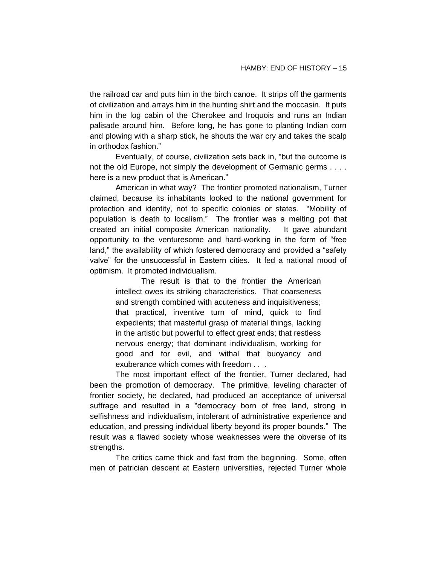the railroad car and puts him in the birch canoe. It strips off the garments of civilization and arrays him in the hunting shirt and the moccasin. It puts him in the log cabin of the Cherokee and Iroquois and runs an Indian palisade around him. Before long, he has gone to planting Indian corn and plowing with a sharp stick, he shouts the war cry and takes the scalp in orthodox fashion."

Eventually, of course, civilization sets back in, "but the outcome is not the old Europe, not simply the development of Germanic germs . . . . here is a new product that is American."

American in what way? The frontier promoted nationalism, Turner claimed, because its inhabitants looked to the national government for protection and identity, not to specific colonies or states. "Mobility of population is death to localism." The frontier was a melting pot that created an initial composite American nationality. It gave abundant opportunity to the venturesome and hard-working in the form of "free land," the availability of which fostered democracy and provided a "safety valve" for the unsuccessful in Eastern cities. It fed a national mood of optimism. It promoted individualism.

The result is that to the frontier the American intellect owes its striking characteristics. That coarseness and strength combined with acuteness and inquisitiveness; that practical, inventive turn of mind, quick to find expedients; that masterful grasp of material things, lacking in the artistic but powerful to effect great ends; that restless nervous energy; that dominant individualism, working for good and for evil, and withal that buoyancy and exuberance which comes with freedom . . .

The most important effect of the frontier, Turner declared, had been the promotion of democracy. The primitive, leveling character of frontier society, he declared, had produced an acceptance of universal suffrage and resulted in a "democracy born of free land, strong in selfishness and individualism, intolerant of administrative experience and education, and pressing individual liberty beyond its proper bounds." The result was a flawed society whose weaknesses were the obverse of its strengths.

The critics came thick and fast from the beginning. Some, often men of patrician descent at Eastern universities, rejected Turner whole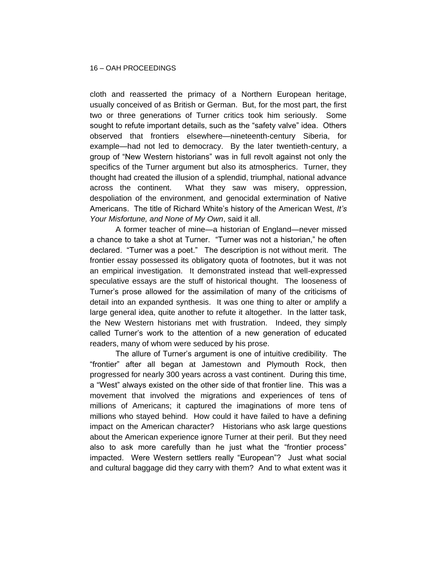cloth and reasserted the primacy of a Northern European heritage, usually conceived of as British or German. But, for the most part, the first two or three generations of Turner critics took him seriously. Some sought to refute important details, such as the "safety valve" idea. Others observed that frontiers elsewhere—nineteenth-century Siberia, for example—had not led to democracy. By the later twentieth-century, a group of "New Western historians" was in full revolt against not only the specifics of the Turner argument but also its atmospherics. Turner, they thought had created the illusion of a splendid, triumphal, national advance across the continent. What they saw was misery, oppression, despoliation of the environment, and genocidal extermination of Native Americans. The title of Richard White's history of the American West, *It's Your Misfortune, and None of My Own*, said it all.

A former teacher of mine—a historian of England—never missed a chance to take a shot at Turner. "Turner was not a historian," he often declared. "Turner was a poet." The description is not without merit. The frontier essay possessed its obligatory quota of footnotes, but it was not an empirical investigation. It demonstrated instead that well-expressed speculative essays are the stuff of historical thought. The looseness of Turner's prose allowed for the assimilation of many of the criticisms of detail into an expanded synthesis. It was one thing to alter or amplify a large general idea, quite another to refute it altogether. In the latter task, the New Western historians met with frustration. Indeed, they simply called Turner's work to the attention of a new generation of educated readers, many of whom were seduced by his prose.

The allure of Turner's argument is one of intuitive credibility. The "frontier" after all began at Jamestown and Plymouth Rock, then progressed for nearly 300 years across a vast continent. During this time, a "West" always existed on the other side of that frontier line. This was a movement that involved the migrations and experiences of tens of millions of Americans; it captured the imaginations of more tens of millions who stayed behind. How could it have failed to have a defining impact on the American character? Historians who ask large questions about the American experience ignore Turner at their peril. But they need also to ask more carefully than he just what the "frontier process" impacted. Were Western settlers really "European"? Just what social and cultural baggage did they carry with them? And to what extent was it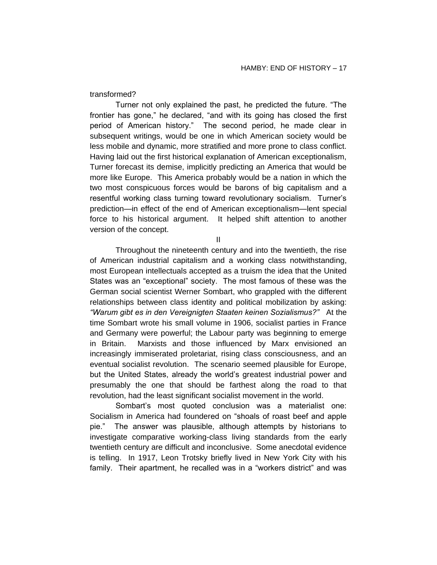transformed?

Turner not only explained the past, he predicted the future. "The frontier has gone," he declared, "and with its going has closed the first period of American history." The second period, he made clear in subsequent writings, would be one in which American society would be less mobile and dynamic, more stratified and more prone to class conflict. Having laid out the first historical explanation of American exceptionalism, Turner forecast its demise, implicitly predicting an America that would be more like Europe. This America probably would be a nation in which the two most conspicuous forces would be barons of big capitalism and a resentful working class turning toward revolutionary socialism. Turner's prediction—in effect of the end of American exceptionalism—lent special force to his historical argument. It helped shift attention to another version of the concept.

II

Throughout the nineteenth century and into the twentieth, the rise of American industrial capitalism and a working class notwithstanding, most European intellectuals accepted as a truism the idea that the United States was an "exceptional" society. The most famous of these was the German social scientist Werner Sombart, who grappled with the different relationships between class identity and political mobilization by asking: *"Warum gibt es in den Vereignigten Staaten keinen Sozialismus?"* At the time Sombart wrote his small volume in 1906, socialist parties in France and Germany were powerful; the Labour party was beginning to emerge in Britain. Marxists and those influenced by Marx envisioned an increasingly immiserated proletariat, rising class consciousness, and an eventual socialist revolution. The scenario seemed plausible for Europe, but the United States, already the world's greatest industrial power and presumably the one that should be farthest along the road to that revolution, had the least significant socialist movement in the world.

Sombart's most quoted conclusion was a materialist one: Socialism in America had foundered on "shoals of roast beef and apple pie." The answer was plausible, although attempts by historians to investigate comparative working-class living standards from the early twentieth century are difficult and inconclusive. Some anecdotal evidence is telling. In 1917, Leon Trotsky briefly lived in New York City with his family. Their apartment, he recalled was in a "workers district" and was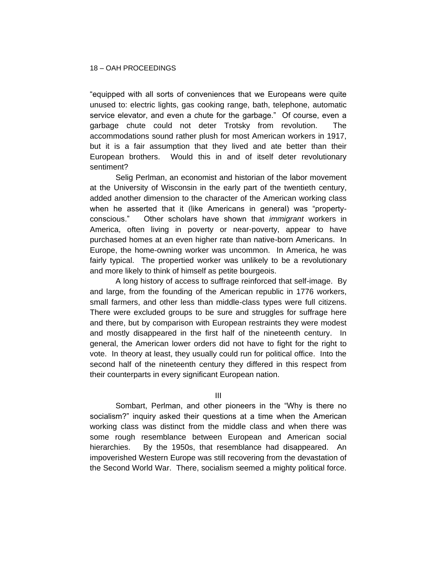"equipped with all sorts of conveniences that we Europeans were quite unused to: electric lights, gas cooking range, bath, telephone, automatic service elevator, and even a chute for the garbage." Of course, even a garbage chute could not deter Trotsky from revolution. The accommodations sound rather plush for most American workers in 1917, but it is a fair assumption that they lived and ate better than their European brothers. Would this in and of itself deter revolutionary sentiment?

Selig Perlman, an economist and historian of the labor movement at the University of Wisconsin in the early part of the twentieth century, added another dimension to the character of the American working class when he asserted that it (like Americans in general) was "propertyconscious." Other scholars have shown that *immigrant* workers in America, often living in poverty or near-poverty, appear to have purchased homes at an even higher rate than native-born Americans. In Europe, the home-owning worker was uncommon. In America, he was fairly typical. The propertied worker was unlikely to be a revolutionary and more likely to think of himself as petite bourgeois.

A long history of access to suffrage reinforced that self-image. By and large, from the founding of the American republic in 1776 workers, small farmers, and other less than middle-class types were full citizens. There were excluded groups to be sure and struggles for suffrage here and there, but by comparison with European restraints they were modest and mostly disappeared in the first half of the nineteenth century. In general, the American lower orders did not have to fight for the right to vote. In theory at least, they usually could run for political office. Into the second half of the nineteenth century they differed in this respect from their counterparts in every significant European nation.

III

Sombart, Perlman, and other pioneers in the "Why is there no socialism?" inquiry asked their questions at a time when the American working class was distinct from the middle class and when there was some rough resemblance between European and American social hierarchies. By the 1950s, that resemblance had disappeared. An impoverished Western Europe was still recovering from the devastation of the Second World War. There, socialism seemed a mighty political force.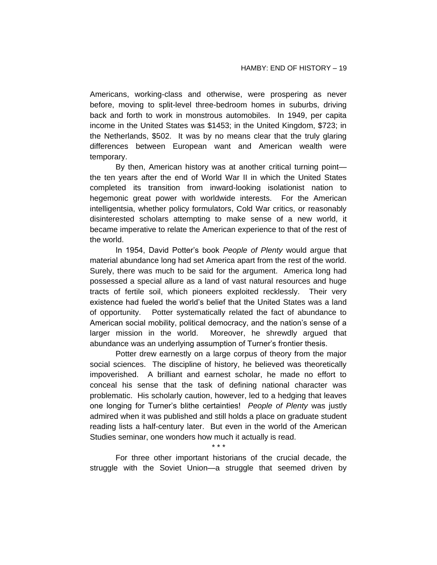Americans, working-class and otherwise, were prospering as never before, moving to split-level three-bedroom homes in suburbs, driving back and forth to work in monstrous automobiles. In 1949, per capita income in the United States was \$1453; in the United Kingdom, \$723; in the Netherlands, \$502. It was by no means clear that the truly glaring differences between European want and American wealth were temporary.

By then, American history was at another critical turning point the ten years after the end of World War II in which the United States completed its transition from inward-looking isolationist nation to hegemonic great power with worldwide interests. For the American intelligentsia, whether policy formulators, Cold War critics, or reasonably disinterested scholars attempting to make sense of a new world, it became imperative to relate the American experience to that of the rest of the world.

In 1954, David Potter's book *People of Plenty* would argue that material abundance long had set America apart from the rest of the world. Surely, there was much to be said for the argument. America long had possessed a special allure as a land of vast natural resources and huge tracts of fertile soil, which pioneers exploited recklessly. Their very existence had fueled the world's belief that the United States was a land of opportunity. Potter systematically related the fact of abundance to American social mobility, political democracy, and the nation's sense of a larger mission in the world. Moreover, he shrewdly argued that abundance was an underlying assumption of Turner's frontier thesis.

Potter drew earnestly on a large corpus of theory from the major social sciences. The discipline of history, he believed was theoretically impoverished. A brilliant and earnest scholar, he made no effort to conceal his sense that the task of defining national character was problematic. His scholarly caution, however, led to a hedging that leaves one longing for Turner's blithe certainties! *People of Plenty* was justly admired when it was published and still holds a place on graduate student reading lists a half-century later. But even in the world of the American Studies seminar, one wonders how much it actually is read.

*\* \* \**  For three other important historians of the crucial decade, the struggle with the Soviet Union—a struggle that seemed driven by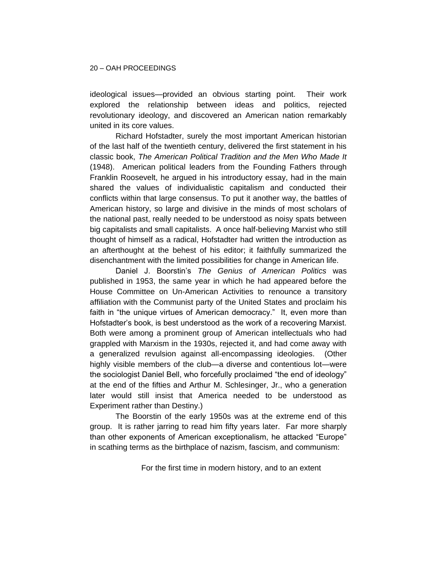ideological issues—provided an obvious starting point. Their work explored the relationship between ideas and politics, rejected revolutionary ideology, and discovered an American nation remarkably united in its core values.

Richard Hofstadter, surely the most important American historian of the last half of the twentieth century, delivered the first statement in his classic book, *The American Political Tradition and the Men Who Made It* (1948). American political leaders from the Founding Fathers through Franklin Roosevelt, he argued in his introductory essay, had in the main shared the values of individualistic capitalism and conducted their conflicts within that large consensus. To put it another way, the battles of American history, so large and divisive in the minds of most scholars of the national past, really needed to be understood as noisy spats between big capitalists and small capitalists. A once half-believing Marxist who still thought of himself as a radical, Hofstadter had written the introduction as an afterthought at the behest of his editor; it faithfully summarized the disenchantment with the limited possibilities for change in American life.

Daniel J. Boorstin's *The Genius of American Politics* was published in 1953, the same year in which he had appeared before the House Committee on Un-American Activities to renounce a transitory affiliation with the Communist party of the United States and proclaim his faith in "the unique virtues of American democracy." It, even more than Hofstadter's book, is best understood as the work of a recovering Marxist. Both were among a prominent group of American intellectuals who had grappled with Marxism in the 1930s, rejected it, and had come away with a generalized revulsion against all-encompassing ideologies. (Other highly visible members of the club—a diverse and contentious lot—were the sociologist Daniel Bell, who forcefully proclaimed "the end of ideology" at the end of the fifties and Arthur M. Schlesinger, Jr., who a generation later would still insist that America needed to be understood as Experiment rather than Destiny.)

The Boorstin of the early 1950s was at the extreme end of this group. It is rather jarring to read him fifty years later. Far more sharply than other exponents of American exceptionalism, he attacked "Europe" in scathing terms as the birthplace of nazism, fascism, and communism:

For the first time in modern history, and to an extent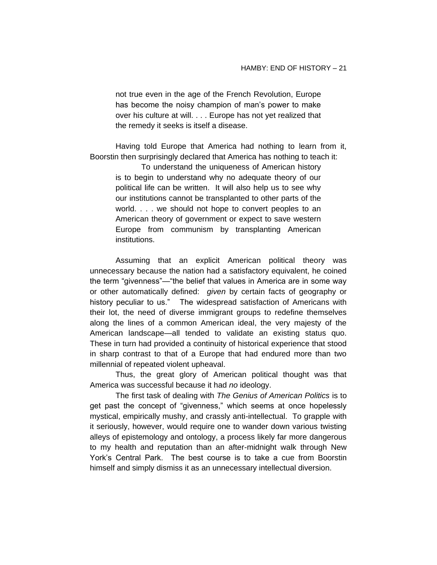not true even in the age of the French Revolution, Europe has become the noisy champion of man's power to make over his culture at will. . . . Europe has not yet realized that the remedy it seeks is itself a disease.

Having told Europe that America had nothing to learn from it, Boorstin then surprisingly declared that America has nothing to teach it:

To understand the uniqueness of American history is to begin to understand why no adequate theory of our political life can be written. It will also help us to see why our institutions cannot be transplanted to other parts of the world. . . . we should not hope to convert peoples to an American theory of government or expect to save western Europe from communism by transplanting American institutions.

Assuming that an explicit American political theory was unnecessary because the nation had a satisfactory equivalent, he coined the term "givenness"—"the belief that values in America are in some way or other automatically defined: *given* by certain facts of geography or history peculiar to us." The widespread satisfaction of Americans with their lot, the need of diverse immigrant groups to redefine themselves along the lines of a common American ideal, the very majesty of the American landscape—all tended to validate an existing status quo. These in turn had provided a continuity of historical experience that stood in sharp contrast to that of a Europe that had endured more than two millennial of repeated violent upheaval.

Thus, the great glory of American political thought was that America was successful because it had *no* ideology.

The first task of dealing with *The Genius of American Politics* is to get past the concept of "givenness," which seems at once hopelessly mystical, empirically mushy, and crassly anti-intellectual. To grapple with it seriously, however, would require one to wander down various twisting alleys of epistemology and ontology, a process likely far more dangerous to my health and reputation than an after-midnight walk through New York's Central Park. The best course is to take a cue from Boorstin himself and simply dismiss it as an unnecessary intellectual diversion.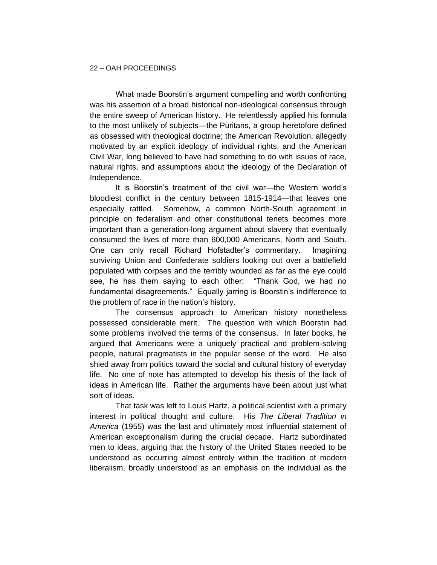## 22 – OAH PROCEEDINGS

What made Boorstin's argument compelling and worth confronting was his assertion of a broad historical non-ideological consensus through the entire sweep of American history. He relentlessly applied his formula to the most unlikely of subjects—the Puritans, a group heretofore defined as obsessed with theological doctrine; the American Revolution, allegedly motivated by an explicit ideology of individual rights; and the American Civil War, long believed to have had something to do with issues of race, natural rights, and assumptions about the ideology of the Declaration of Independence.

It is Boorstin's treatment of the civil war—the Western world's bloodiest conflict in the century between 1815-1914—that leaves one especially rattled. Somehow, a common North-South agreement in principle on federalism and other constitutional tenets becomes more important than a generation-long argument about slavery that eventually consumed the lives of more than 600,000 Americans, North and South. One can only recall Richard Hofstadter's commentary. Imagining surviving Union and Confederate soldiers looking out over a battlefield populated with corpses and the terribly wounded as far as the eye could see, he has them saying to each other: "Thank God, we had no fundamental disagreements." Equally jarring is Boorstin's indifference to the problem of race in the nation's history.

The consensus approach to American history nonetheless possessed considerable merit. The question with which Boorstin had some problems involved the terms of the consensus. In later books, he argued that Americans were a uniquely practical and problem-solving people, natural pragmatists in the popular sense of the word. He also shied away from politics toward the social and cultural history of everyday life. No one of note has attempted to develop his thesis of the lack of ideas in American life. Rather the arguments have been about just what sort of ideas.

That task was left to Louis Hartz, a political scientist with a primary interest in political thought and culture. His *The Liberal Tradition in America* (1955) was the last and ultimately most influential statement of American exceptionalism during the crucial decade. Hartz subordinated men to ideas, arguing that the history of the United States needed to be understood as occurring almost entirely within the tradition of modern liberalism, broadly understood as an emphasis on the individual as the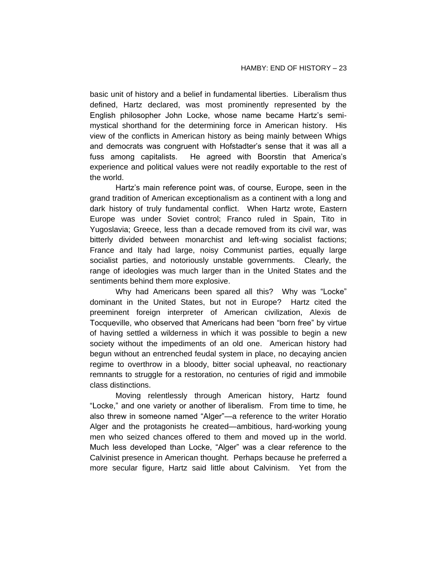basic unit of history and a belief in fundamental liberties. Liberalism thus defined, Hartz declared, was most prominently represented by the English philosopher John Locke, whose name became Hartz's semimystical shorthand for the determining force in American history. His view of the conflicts in American history as being mainly between Whigs and democrats was congruent with Hofstadter's sense that it was all a fuss among capitalists. He agreed with Boorstin that America's experience and political values were not readily exportable to the rest of the world.

Hartz's main reference point was, of course, Europe, seen in the grand tradition of American exceptionalism as a continent with a long and dark history of truly fundamental conflict. When Hartz wrote, Eastern Europe was under Soviet control; Franco ruled in Spain, Tito in Yugoslavia; Greece, less than a decade removed from its civil war, was bitterly divided between monarchist and left-wing socialist factions; France and Italy had large, noisy Communist parties, equally large socialist parties, and notoriously unstable governments. Clearly, the range of ideologies was much larger than in the United States and the sentiments behind them more explosive.

Why had Americans been spared all this? Why was "Locke" dominant in the United States, but not in Europe? Hartz cited the preeminent foreign interpreter of American civilization, Alexis de Tocqueville, who observed that Americans had been "born free" by virtue of having settled a wilderness in which it was possible to begin a new society without the impediments of an old one. American history had begun without an entrenched feudal system in place, no decaying ancien regime to overthrow in a bloody, bitter social upheaval, no reactionary remnants to struggle for a restoration, no centuries of rigid and immobile class distinctions.

Moving relentlessly through American history, Hartz found "Locke," and one variety or another of liberalism. From time to time, he also threw in someone named "Alger"—a reference to the writer Horatio Alger and the protagonists he created—ambitious, hard-working young men who seized chances offered to them and moved up in the world. Much less developed than Locke, "Alger" was a clear reference to the Calvinist presence in American thought. Perhaps because he preferred a more secular figure, Hartz said little about Calvinism. Yet from the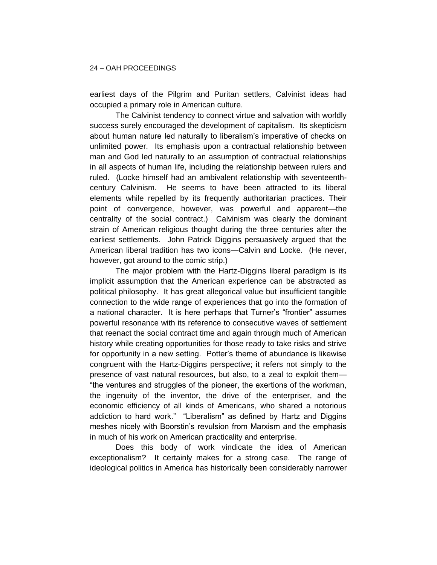earliest days of the Pilgrim and Puritan settlers, Calvinist ideas had occupied a primary role in American culture.

The Calvinist tendency to connect virtue and salvation with worldly success surely encouraged the development of capitalism. Its skepticism about human nature led naturally to liberalism's imperative of checks on unlimited power. Its emphasis upon a contractual relationship between man and God led naturally to an assumption of contractual relationships in all aspects of human life, including the relationship between rulers and ruled. (Locke himself had an ambivalent relationship with seventeenthcentury Calvinism. He seems to have been attracted to its liberal elements while repelled by its frequently authoritarian practices. Their point of convergence, however, was powerful and apparent—the centrality of the social contract.) Calvinism was clearly the dominant strain of American religious thought during the three centuries after the earliest settlements. John Patrick Diggins persuasively argued that the American liberal tradition has two icons—Calvin and Locke. (He never, however, got around to the comic strip.)

The major problem with the Hartz-Diggins liberal paradigm is its implicit assumption that the American experience can be abstracted as political philosophy. It has great allegorical value but insufficient tangible connection to the wide range of experiences that go into the formation of a national character. It is here perhaps that Turner's "frontier" assumes powerful resonance with its reference to consecutive waves of settlement that reenact the social contract time and again through much of American history while creating opportunities for those ready to take risks and strive for opportunity in a new setting. Potter's theme of abundance is likewise congruent with the Hartz-Diggins perspective; it refers not simply to the presence of vast natural resources, but also, to a zeal to exploit them— "the ventures and struggles of the pioneer, the exertions of the workman, the ingenuity of the inventor, the drive of the enterpriser, and the economic efficiency of all kinds of Americans, who shared a notorious addiction to hard work." "Liberalism" as defined by Hartz and Diggins meshes nicely with Boorstin's revulsion from Marxism and the emphasis in much of his work on American practicality and enterprise.

Does this body of work vindicate the idea of American exceptionalism? It certainly makes for a strong case. The range of ideological politics in America has historically been considerably narrower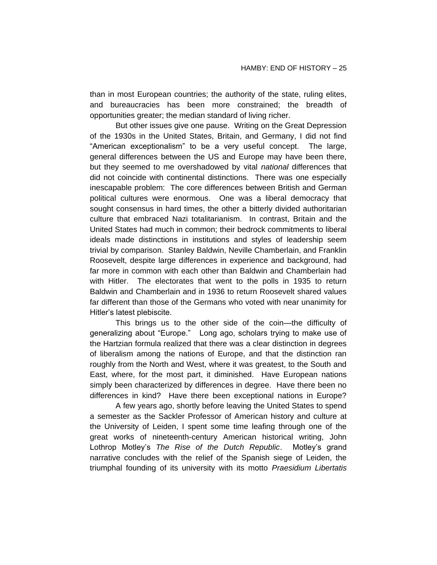than in most European countries; the authority of the state, ruling elites, and bureaucracies has been more constrained; the breadth of opportunities greater; the median standard of living richer.

But other issues give one pause. Writing on the Great Depression of the 1930s in the United States, Britain, and Germany, I did not find "American exceptionalism" to be a very useful concept. The large, general differences between the US and Europe may have been there, but they seemed to me overshadowed by vital *national* differences that did not coincide with continental distinctions. There was one especially inescapable problem: The core differences between British and German political cultures were enormous. One was a liberal democracy that sought consensus in hard times, the other a bitterly divided authoritarian culture that embraced Nazi totalitarianism. In contrast, Britain and the United States had much in common; their bedrock commitments to liberal ideals made distinctions in institutions and styles of leadership seem trivial by comparison. Stanley Baldwin, Neville Chamberlain, and Franklin Roosevelt, despite large differences in experience and background, had far more in common with each other than Baldwin and Chamberlain had with Hitler. The electorates that went to the polls in 1935 to return Baldwin and Chamberlain and in 1936 to return Roosevelt shared values far different than those of the Germans who voted with near unanimity for Hitler's latest plebiscite.

This brings us to the other side of the coin—the difficulty of generalizing about "Europe." Long ago, scholars trying to make use of the Hartzian formula realized that there was a clear distinction in degrees of liberalism among the nations of Europe, and that the distinction ran roughly from the North and West, where it was greatest, to the South and East, where, for the most part, it diminished. Have European nations simply been characterized by differences in degree. Have there been no differences in kind? Have there been exceptional nations in Europe?

A few years ago, shortly before leaving the United States to spend a semester as the Sackler Professor of American history and culture at the University of Leiden, I spent some time leafing through one of the great works of nineteenth-century American historical writing, John Lothrop Motley's *The Rise of the Dutch Republic*. Motley's grand narrative concludes with the relief of the Spanish siege of Leiden, the triumphal founding of its university with its motto *Praesidium Libertatis*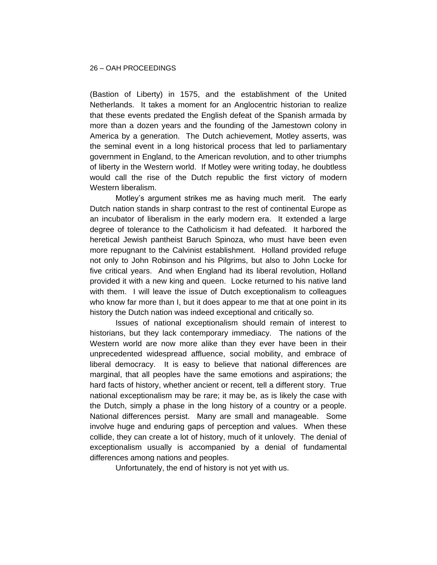(Bastion of Liberty) in 1575, and the establishment of the United Netherlands. It takes a moment for an Anglocentric historian to realize that these events predated the English defeat of the Spanish armada by more than a dozen years and the founding of the Jamestown colony in America by a generation. The Dutch achievement, Motley asserts, was the seminal event in a long historical process that led to parliamentary government in England, to the American revolution, and to other triumphs of liberty in the Western world. If Motley were writing today, he doubtless would call the rise of the Dutch republic the first victory of modern Western liberalism.

Motley's argument strikes me as having much merit. The early Dutch nation stands in sharp contrast to the rest of continental Europe as an incubator of liberalism in the early modern era. It extended a large degree of tolerance to the Catholicism it had defeated. It harbored the heretical Jewish pantheist Baruch Spinoza, who must have been even more repugnant to the Calvinist establishment. Holland provided refuge not only to John Robinson and his Pilgrims, but also to John Locke for five critical years. And when England had its liberal revolution, Holland provided it with a new king and queen. Locke returned to his native land with them. I will leave the issue of Dutch exceptionalism to colleagues who know far more than I, but it does appear to me that at one point in its history the Dutch nation was indeed exceptional and critically so.

Issues of national exceptionalism should remain of interest to historians, but they lack contemporary immediacy. The nations of the Western world are now more alike than they ever have been in their unprecedented widespread affluence, social mobility, and embrace of liberal democracy. It is easy to believe that national differences are marginal, that all peoples have the same emotions and aspirations; the hard facts of history, whether ancient or recent, tell a different story. True national exceptionalism may be rare; it may be, as is likely the case with the Dutch, simply a phase in the long history of a country or a people. National differences persist. Many are small and manageable. Some involve huge and enduring gaps of perception and values. When these collide, they can create a lot of history, much of it unlovely. The denial of exceptionalism usually is accompanied by a denial of fundamental differences among nations and peoples.

Unfortunately, the end of history is not yet with us.